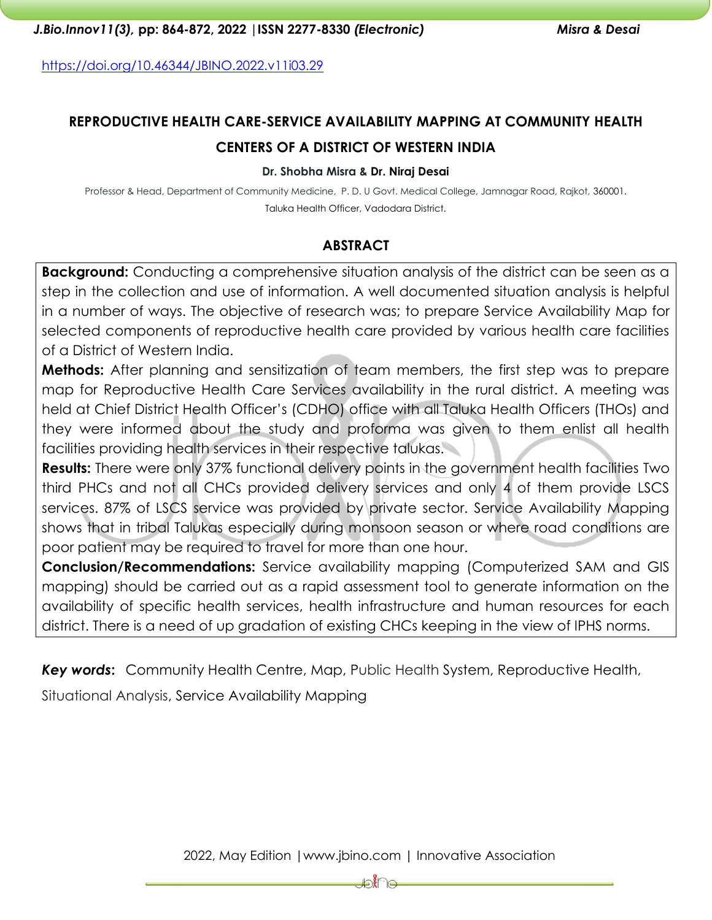<https://doi.org/10.46344/JBINO.2022.v11i03.29>

# **REPRODUCTIVE HEALTH CARE-SERVICE AVAILABILITY MAPPING AT COMMUNITY HEALTH CENTERS OF A DISTRICT OF WESTERN INDIA**

#### **Dr. Shobha Misra & Dr. Niraj Desai**

Professor & Head, Department of Community Medicine, P. D. U Govt. Medical College, Jamnagar Road, Rajkot, 360001. Taluka Health Officer, Vadodara District.

## **ABSTRACT**

**Background:** Conducting a comprehensive situation analysis of the district can be seen as a step in the collection and use of information. A well documented situation analysis is helpful in a number of ways. The objective of research was; to prepare Service Availability Map for selected components of reproductive health care provided by various health care facilities of a District of Western India.

**Methods:** After planning and sensitization of team members, the first step was to prepare map for Reproductive Health Care Services availability in the rural district. A meeting was held at Chief District Health Officer's (CDHO) office with all Taluka Health Officers (THOs) and they were informed about the study and proforma was given to them enlist all health facilities providing health services in their respective talukas.

**Results:** There were only 37% functional delivery points in the government health facilities Two third PHCs and not all CHCs provided delivery services and only 4 of them provide LSCS services. 87% of LSCS service was provided by private sector. Service Availability Mapping shows that in tribal Talukas especially during monsoon season or where road conditions are poor patient may be required to travel for more than one hour.

**Conclusion/Recommendations:** Service availability mapping (Computerized SAM and GIS mapping) should be carried out as a rapid assessment tool to generate information on the availability of specific health services, health infrastructure and human resources for each district. There is a need of up gradation of existing CHCs keeping in the view of IPHS norms.

*Key words***:** Community Health Centre, Map, Public Health System, Reproductive Health,

Situational Analysis, Service Availability Mapping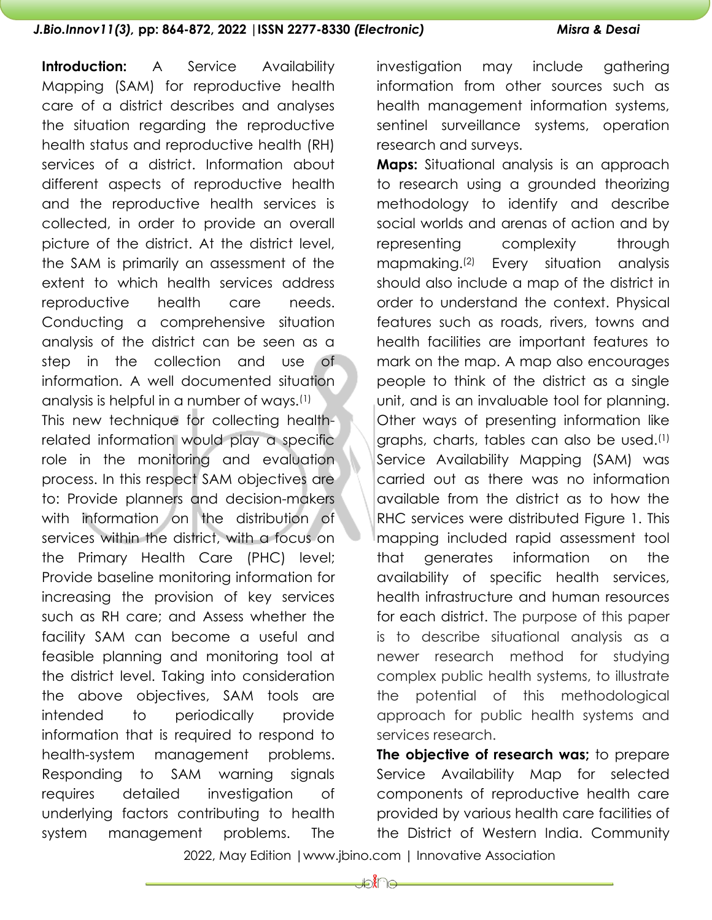**Introduction:** A Service Availability Mapping (SAM) for reproductive health care of a district describes and analyses the situation regarding the reproductive health status and reproductive health (RH) services of a district. Information about different aspects of reproductive health and the reproductive health services is collected, in order to provide an overall picture of the district. At the district level, the SAM is primarily an assessment of the extent to which health services address reproductive health care needs. Conducting a comprehensive situation analysis of the district can be seen as a step in the collection and use of information. A well documented situation analysis is helpful in a number of ways.(1) This new technique for collecting healthrelated information would play a specific role in the monitoring and evaluation process. In this respect SAM objectives are to: Provide planners and decision-makers with information on the distribution of services within the district, with a focus on the Primary Health Care (PHC) level; Provide baseline monitoring information for increasing the provision of key services such as RH care; and Assess whether the facility SAM can become a useful and feasible planning and monitoring tool at the district level. Taking into consideration the above objectives, SAM tools are intended to periodically provide information that is required to respond to health-system management problems. Responding to SAM warning signals requires detailed investigation of underlying factors contributing to health system management problems. The

investigation may include gathering information from other sources such as health management information systems, sentinel surveillance systems, operation research and surveys.

**Maps:** Situational analysis is an approach to research using a grounded theorizing methodology to identify and describe social worlds and arenas of action and by representing complexity through mapmaking. (2) Every situation analysis should also include a map of the district in order to understand the context. Physical features such as roads, rivers, towns and health facilities are important features to mark on the map. A map also encourages people to think of the district as a single unit, and is an invaluable tool for planning. Other ways of presenting information like graphs, charts, tables can also be used.(1) Service Availability Mapping (SAM) was carried out as there was no information available from the district as to how the RHC services were distributed Figure 1. This mapping included rapid assessment tool that generates information on the availability of specific health services, health infrastructure and human resources for each district. The purpose of this paper is to describe situational analysis as a newer research method for studying complex public health systems, to illustrate the potential of this methodological approach for public health systems and services research.

**The objective of research was;** to prepare Service Availability Map for selected components of reproductive health care provided by various health care facilities of the District of Western India. Community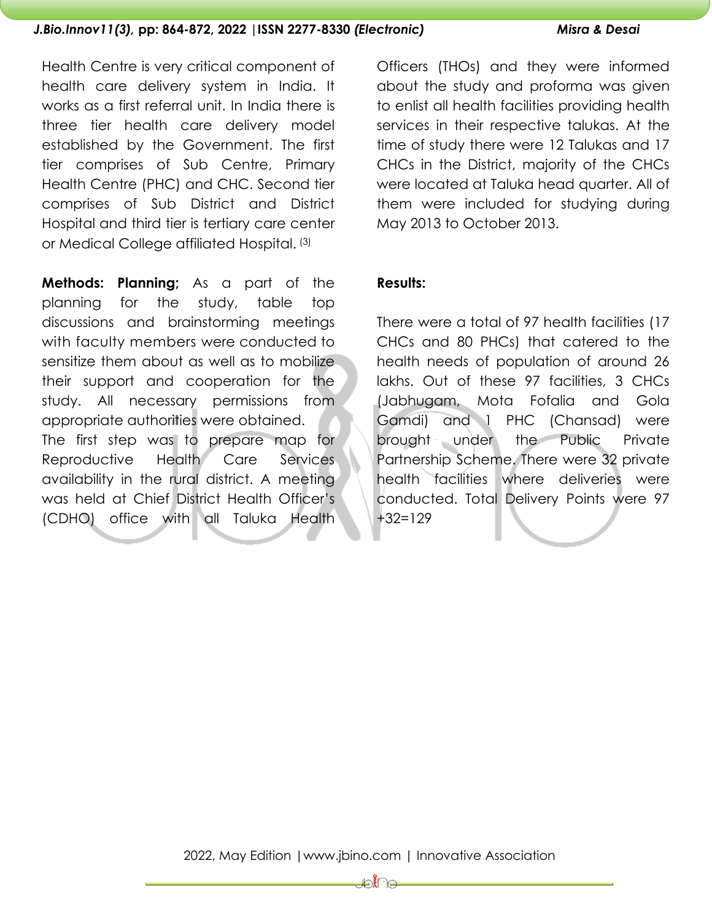Health Centre is very critical component of health care delivery system in India. It works as a first referral unit. In India there is three tier health care delivery model established by the Government. The first tier comprises of Sub Centre, Primary Health Centre (PHC) and CHC. Second tier comprises of Sub District and District Hospital and third tier is tertiary care center or Medical College affiliated Hospital. (3)

**Methods: Planning;** As a part of the planning for the study, table top discussions and brainstorming meetings with faculty members were conducted to sensitize them about as well as to mobilize their support and cooperation for the study. All necessary permissions from appropriate authorities were obtained. The first step was to prepare map for Reproductive Health Care Services availability in the rural district. A meeting was held at Chief District Health Officer's (CDHO) office with all Taluka Health

Officers (THOs) and they were informed about the study and proforma was given to enlist all health facilities providing health services in their respective talukas. At the time of study there were 12 Talukas and 17 CHCs in the District, majority of the CHCs were located at Taluka head quarter. All of them were included for studying during May 2013 to October 2013.

### **Results:**

There were a total of 97 health facilities (17 CHCs and 80 PHCs) that catered to the health needs of population of around 26 lakhs. Out of these 97 facilities, 3 CHCs (Jabhugam, Mota Fofalia and Gola Gamdi) and 1 PHC (Chansad) were brought under the Public Private Partnership Scheme. There were 32 private health facilities where deliveries were conducted. Total Delivery Points were 97 +32=129

Joine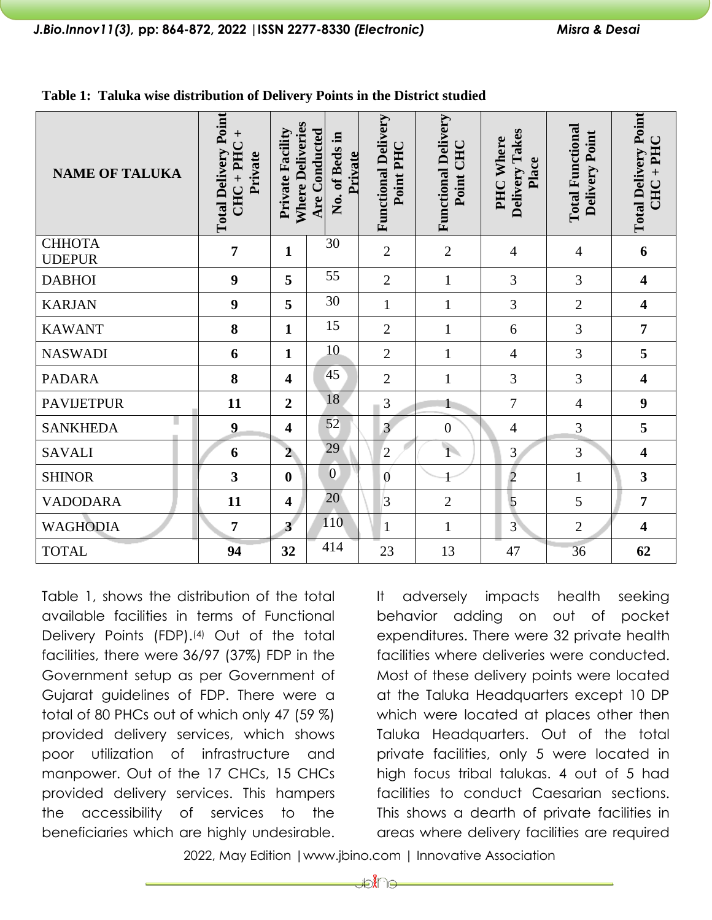| <b>NAME OF TALUKA</b>   | <b>Total Delivery Point</b><br>$CHC + PHC +$<br>Private | <b>Where Deliveries</b><br><b>Private Facility</b> | Are Conducted<br>크.<br>No. of Beds<br>Private | <b>Functional Delivery</b><br>Point PHC | <b>Functional Delivery</b><br>Point CHC | Delivery Takes<br>PHC Where<br>Place | <b>Total Functional</b><br>Delivery Point | <b>Total Delivery Point</b><br>$CHC + PHC$ |
|-------------------------|---------------------------------------------------------|----------------------------------------------------|-----------------------------------------------|-----------------------------------------|-----------------------------------------|--------------------------------------|-------------------------------------------|--------------------------------------------|
| СННОТА<br><b>UDEPUR</b> | $\overline{7}$                                          | $\mathbf{1}$                                       | 30                                            | $\mathfrak{2}$                          | $\mathfrak{2}$                          | 4                                    | 4                                         | 6                                          |
| <b>DABHOI</b>           | 9                                                       | 5                                                  | 55                                            | $\overline{2}$                          | $\mathbf{1}$                            | 3                                    | 3                                         | $\overline{\mathbf{4}}$                    |
| <b>KARJAN</b>           | 9                                                       | 5                                                  | 30                                            | $\mathbf{1}$                            | $\mathbf{1}$                            | 3                                    | $\overline{2}$                            | $\overline{\mathbf{4}}$                    |
| <b>KAWANT</b>           | 8                                                       | $\mathbf{1}$                                       | 15                                            | $\overline{2}$                          | $\mathbf{1}$                            | 6                                    | 3                                         | $\overline{7}$                             |
| <b>NASWADI</b>          | 6                                                       | $\mathbf{1}$                                       | 10                                            | $\overline{2}$                          | $\mathbf{1}$                            | 4                                    | 3                                         | 5                                          |
| <b>PADARA</b>           | 8                                                       | $\overline{\mathbf{4}}$                            | 45                                            | $\mathfrak{2}$                          | $\mathbf{1}$                            | 3                                    | 3                                         | $\overline{\mathbf{4}}$                    |
| <b>PAVIJETPUR</b>       | 11                                                      | $\overline{2}$                                     | 18                                            | 3                                       |                                         | 7                                    | $\overline{4}$                            | 9                                          |
| <b>SANKHEDA</b>         | $\boldsymbol{9}$                                        | $\overline{\mathbf{4}}$                            | 52                                            | $\overline{3}$                          | $\overline{0}$                          | 4                                    | 3                                         | 5                                          |
| <b>SAVALI</b>           | 6                                                       | $\overline{2}$                                     | 29                                            | $\overline{2}$                          | $\overline{1}$                          | $\overline{3}$                       | 3                                         | 4                                          |
| <b>SHINOR</b>           | 3                                                       | $\boldsymbol{0}$                                   | $\overline{0}$                                | $\boldsymbol{0}$                        |                                         | $\overline{2}$                       | $\mathbf{1}$                              | $\overline{\mathbf{3}}$                    |
| <b>VADODARA</b>         | 11                                                      | $\overline{\mathbf{4}}$                            | 20                                            | $\vert$ 3                               | $\overline{2}$                          | 5                                    | 5                                         | $\overline{7}$                             |
| <b>WAGHODIA</b>         | $\overline{7}$                                          | $\overline{3}$                                     | 110                                           | $\mathbf{1}$                            | $\mathbf{1}$                            | $\overline{3}$                       | $\overline{2}$                            | $\overline{\mathbf{4}}$                    |
| <b>TOTAL</b>            | 94                                                      | 32                                                 | 414                                           | 23                                      | 13                                      | 47                                   | 36                                        | 62                                         |

**Table 1: Taluka wise distribution of Delivery Points in the District studied**

Table 1, shows the distribution of the total available facilities in terms of Functional Delivery Points (FDP).<sup>(4)</sup> Out of the total facilities, there were 36/97 (37%) FDP in the Government setup as per Government of Gujarat guidelines of FDP. There were a total of 80 PHCs out of which only 47 (59 %) provided delivery services, which shows poor utilization of infrastructure and manpower. Out of the 17 CHCs, 15 CHCs provided delivery services. This hampers the accessibility of services to the beneficiaries which are highly undesirable.

It adversely impacts health seeking behavior adding on out of pocket expenditures. There were 32 private health facilities where deliveries were conducted. Most of these delivery points were located at the Taluka Headquarters except 10 DP which were located at places other then Taluka Headquarters. Out of the total private facilities, only 5 were located in high focus tribal talukas. 4 out of 5 had facilities to conduct Caesarian sections. This shows a dearth of private facilities in areas where delivery facilities are required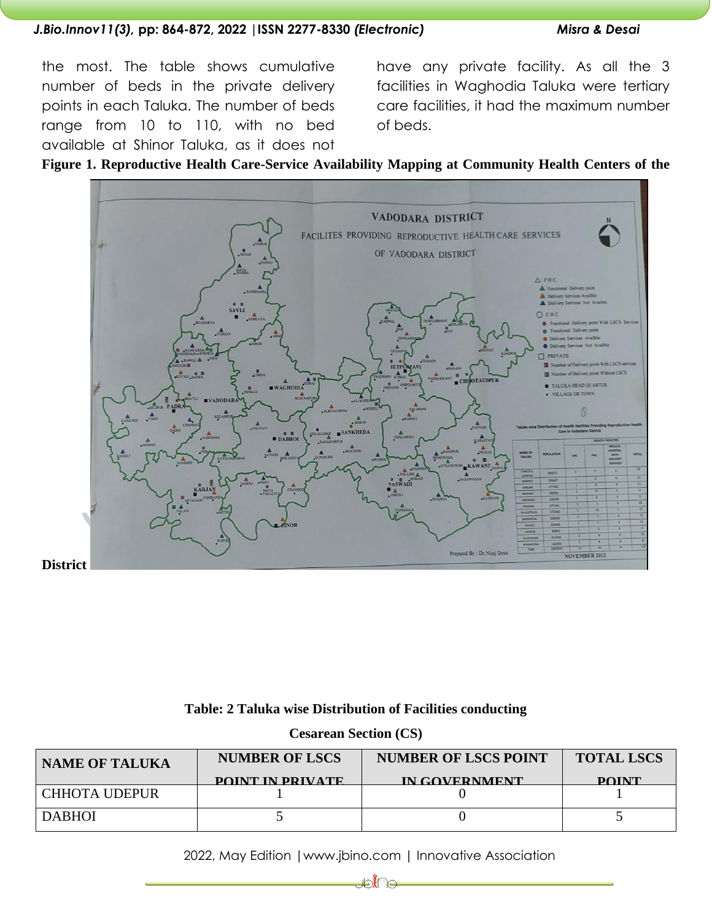the most. The table shows cumulative number of beds in the private delivery points in each Taluka. The number of beds range from 10 to 110, with no bed available at Shinor Taluka, as it does not

have any private facility. As all the 3 facilities in Waghodia Taluka were tertiary care facilities, it had the maximum number of beds.

**Figure 1. Reproductive Health Care-Service Availability Mapping at Community Health Centers of the**



### **Table: 2 Taluka wise Distribution of Facilities conducting**

| <b>Cesarean Section (CS)</b> |  |  |
|------------------------------|--|--|
|------------------------------|--|--|

| <b>NAME OF TALUKA</b> | <b>NUMBER OF LSCS</b>   | <b>NUMBER OF LSCS POINT</b> | <b>TOTAL LSCS</b> |  |
|-----------------------|-------------------------|-----------------------------|-------------------|--|
|                       | <b>POINT IN PRIVATE</b> | <b>IN COVERNMENT</b>        | <b>POINT</b>      |  |
| CHHOTA UDEPUR         |                         |                             |                   |  |
| <b>DABHOI</b>         |                         |                             |                   |  |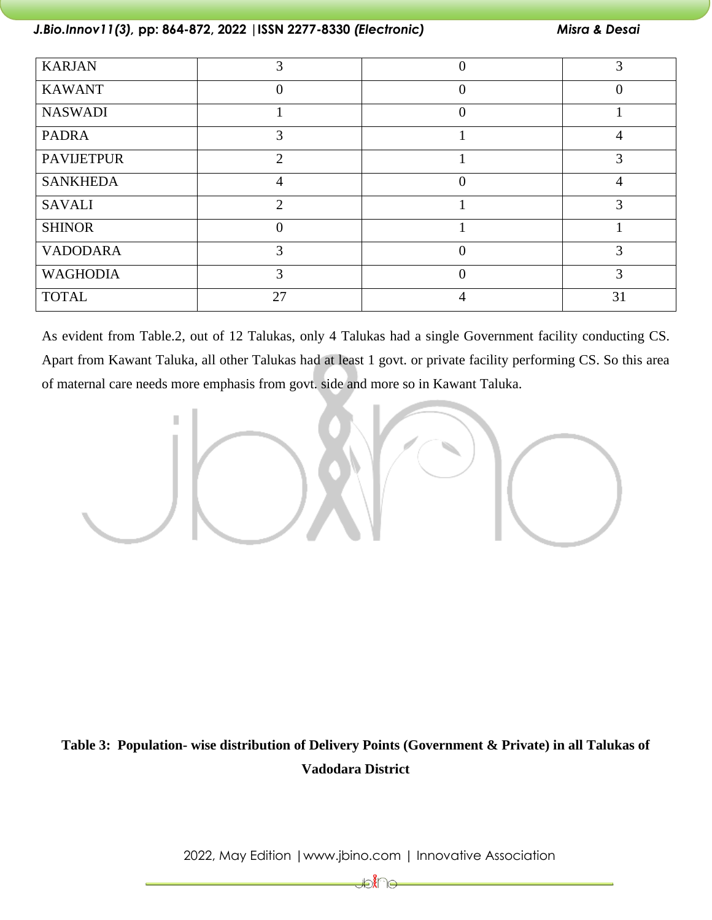| <b>KARJAN</b>     |                |          |    |
|-------------------|----------------|----------|----|
| <b>KAWANT</b>     | 0              | 0        |    |
| <b>NASWADI</b>    |                |          |    |
| <b>PADRA</b>      | 3              |          |    |
| <b>PAVIJETPUR</b> | $\overline{2}$ |          | 3  |
| <b>SANKHEDA</b>   | 4              |          |    |
| <b>SAVALI</b>     | $\mathcal{D}$  |          | 3  |
| <b>SHINOR</b>     | 0              |          |    |
| <b>VADODARA</b>   | 3              |          | 3  |
| <b>WAGHODIA</b>   | 3              | $\theta$ | 3  |
| <b>TOTAL</b>      | 27             |          | 31 |

As evident from Table.2, out of 12 Talukas, only 4 Talukas had a single Government facility conducting CS. Apart from Kawant Taluka, all other Talukas had at least 1 govt. or private facility performing CS. So this area of maternal care needs more emphasis from govt. side and more so in Kawant Taluka.



# **Table 3: Population- wise distribution of Delivery Points (Government & Private) in all Talukas of Vadodara District**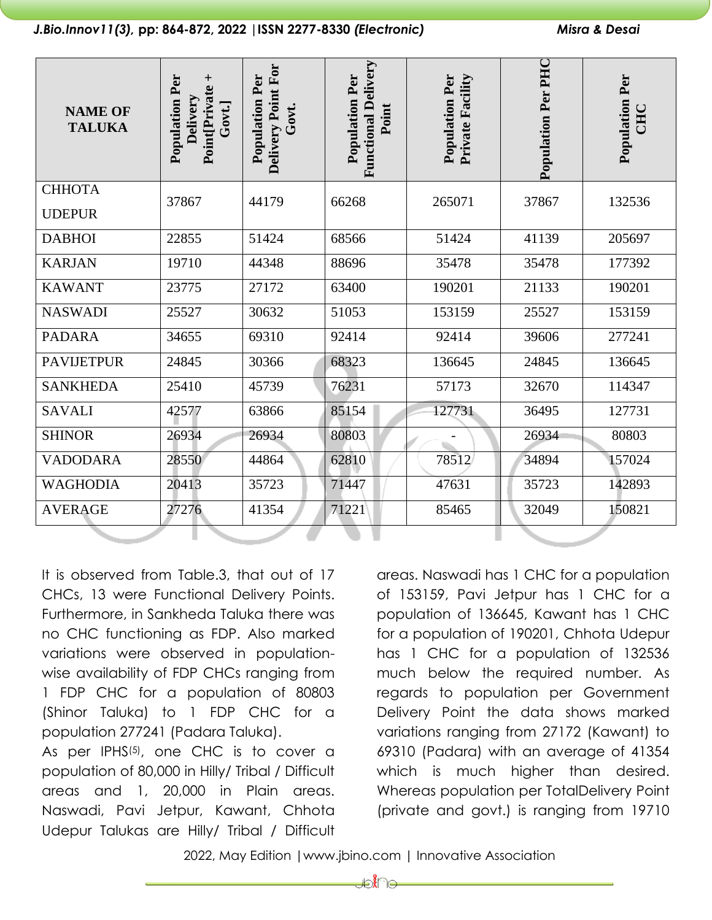| <b>NAME OF</b><br><b>TALUKA</b> | Population Per<br>Point Private +<br>Delivery<br>Gort.] | Delivery Point For<br><b>Population Per</b><br>Govt. | <b>Functional Delivery</b><br>Population Per<br>Point | <b>Population Per</b><br><b>Private Facility</b> | Population Per PHC | <b>Population Per</b><br><b>CHC</b> |
|---------------------------------|---------------------------------------------------------|------------------------------------------------------|-------------------------------------------------------|--------------------------------------------------|--------------------|-------------------------------------|
| СННОТА                          | 37867                                                   | 44179                                                | 66268                                                 | 265071                                           | 37867              | 132536                              |
| <b>UDEPUR</b>                   |                                                         |                                                      |                                                       |                                                  |                    |                                     |
| <b>DABHOI</b>                   | 22855                                                   | 51424                                                | 68566                                                 | 51424                                            | 41139              | 205697                              |
| <b>KARJAN</b>                   | 19710                                                   | 44348                                                | 88696                                                 | 35478                                            | 35478              | 177392                              |
| <b>KAWANT</b>                   | 23775                                                   | 27172                                                | 63400                                                 | 190201                                           | 21133              | 190201                              |
| <b>NASWADI</b>                  | 25527                                                   | 30632                                                | 51053                                                 | 153159                                           | 25527              | 153159                              |
| <b>PADARA</b>                   | 34655                                                   | 69310                                                | 92414                                                 | 92414                                            | 39606              | 277241                              |
| <b>PAVIJETPUR</b>               | 24845                                                   | 30366                                                | 68323                                                 | 136645                                           | 24845              | 136645                              |
| <b>SANKHEDA</b>                 | 25410                                                   | 45739                                                | 76231                                                 | 57173                                            | 32670              | 114347                              |
| <b>SAVALI</b>                   | 42577                                                   | 63866                                                | 85154                                                 | 127731                                           | 36495              | 127731                              |
| <b>SHINOR</b>                   | 26934                                                   | 26934                                                | 80803                                                 |                                                  | 26934              | 80803                               |
| <b>VADODARA</b>                 | 28550                                                   | 44864                                                | 62810                                                 | 78512                                            | 34894              | 157024                              |
| <b>WAGHODIA</b>                 | 20413                                                   | 35723                                                | 71447                                                 | 47631                                            | 35723              | 142893                              |
| <b>AVERAGE</b>                  | 27276                                                   | 41354                                                | 71221                                                 | 85465                                            | 32049              | 150821                              |
|                                 |                                                         |                                                      |                                                       |                                                  |                    |                                     |

It is observed from Table.3, that out of 17 CHCs, 13 were Functional Delivery Points. Furthermore, in Sankheda Taluka there was no CHC functioning as FDP. Also marked variations were observed in populationwise availability of FDP CHCs ranging from 1 FDP CHC for a population of 80803 (Shinor Taluka) to 1 FDP CHC for a population 277241 (Padara Taluka).

As per IPHS<sup>(5)</sup>, one CHC is to cover a population of 80,000 in Hilly/ Tribal / Difficult areas and 1, 20,000 in Plain areas. Naswadi, Pavi Jetpur, Kawant, Chhota Udepur Talukas are Hilly/ Tribal / Difficult

areas. Naswadi has 1 CHC for a population of 153159, Pavi Jetpur has 1 CHC for a population of 136645, Kawant has 1 CHC for a population of 190201, Chhota Udepur has 1 CHC for a population of 132536 much below the required number. As regards to population per Government Delivery Point the data shows marked variations ranging from 27172 (Kawant) to 69310 (Padara) with an average of 41354 which is much higher than desired. Whereas population per TotalDelivery Point (private and govt.) is ranging from 19710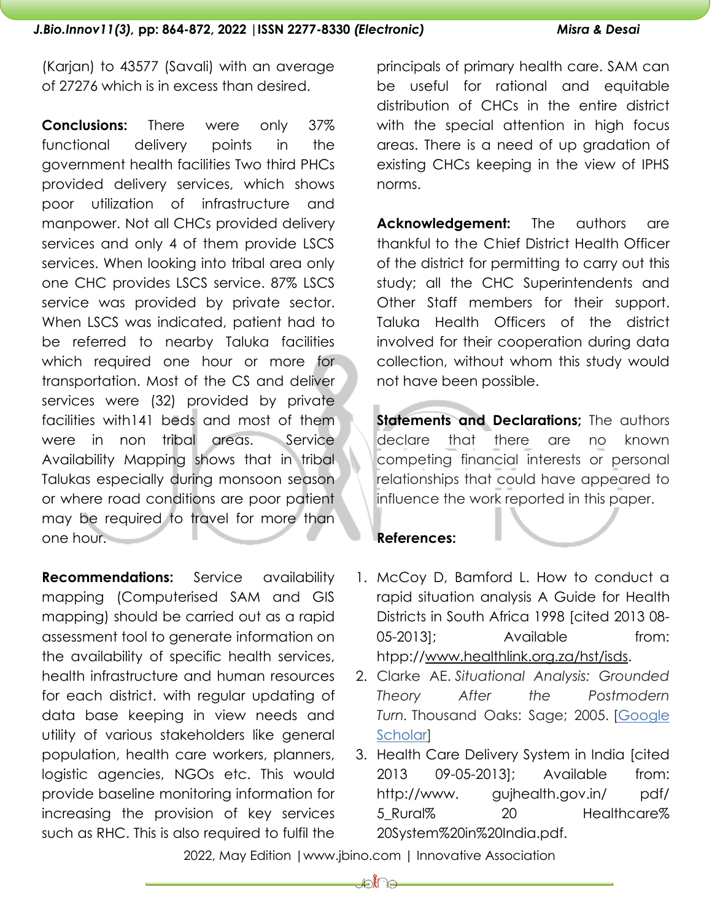(Karjan) to 43577 (Savali) with an average of 27276 which is in excess than desired.

**Conclusions:** There were only 37% functional delivery points in the government health facilities Two third PHCs provided delivery services, which shows poor utilization of infrastructure and manpower. Not all CHCs provided delivery services and only 4 of them provide LSCS services. When looking into tribal area only one CHC provides LSCS service. 87% LSCS service was provided by private sector. When LSCS was indicated, patient had to be referred to nearby Taluka facilities which required one hour or more for transportation. Most of the CS and deliver services were (32) provided by private facilities with141 beds and most of them were in non tribal areas. Service Availability Mapping shows that in tribal Talukas especially during monsoon season or where road conditions are poor patient may be required to travel for more than one hour.

**Recommendations:** Service availability mapping (Computerised SAM and GIS mapping) should be carried out as a rapid assessment tool to generate information on the availability of specific health services, health infrastructure and human resources for each district. with regular updating of data base keeping in view needs and utility of various stakeholders like general population, health care workers, planners, logistic agencies, NGOs etc. This would provide baseline monitoring information for increasing the provision of key services such as RHC. This is also required to fulfil the

principals of primary health care. SAM can be useful for rational and equitable distribution of CHCs in the entire district with the special attention in high focus areas. There is a need of up gradation of existing CHCs keeping in the view of IPHS norms.

**Acknowledgement:** The authors are thankful to the Chief District Health Officer of the district for permitting to carry out this study; all the CHC Superintendents and Other Staff members for their support. Taluka Health Officers of the district involved for their cooperation during data collection, without whom this study would not have been possible.

**Statements and Declarations;** The authors declare that there are no known competing financial interests or personal relationships that could have appeared to influence the work reported in this paper.

# **References:**

- 1. McCoy D, Bamford L. How to conduct a rapid situation analysis A Guide for Health Districts in South Africa 1998 [cited 2013 08- 05-2013]; Available from: htpp:/[/www.healthlink.org.za/hst/isds.](http://www.healthlink.org.za/hst/isds)
- 2. Clarke AE. *Situational Analysis: Grounded Theory After the Postmodern Turn.* Thousand Oaks: Sage; 2005. [\[Google](https://scholar.google.com/scholar_lookup?title=Situational+Analysis:+Grounded+Theory+After+the+Postmodern+Turn&author=AE+Clarke&publication_year=2005&)  [Scholar\]](https://scholar.google.com/scholar_lookup?title=Situational+Analysis:+Grounded+Theory+After+the+Postmodern+Turn&author=AE+Clarke&publication_year=2005&)
- 3. Health Care Delivery System in India [cited 2013 09-05-2013]; Available from: http://www. gujhealth.gov.in/ pdf/ 5 Rural% 20 Healthcare% 20System%20in%20India.pdf.